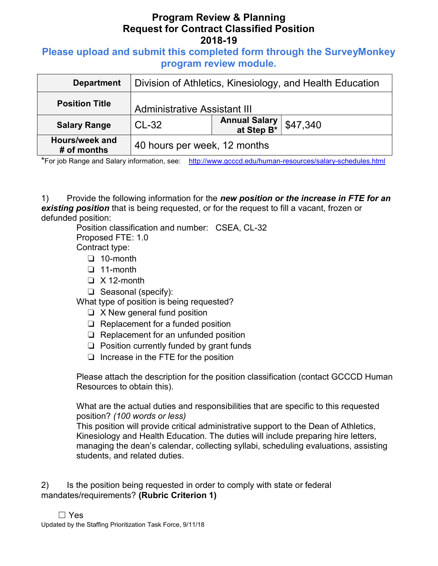# Program Review & Planning Request for Contract Classified Position 2018-19

### Please upload and submit this completed form through the SurveyMonkey program review module.

| <b>Department</b>             | Division of Athletics, Kinesiology, and Health Education |                                     |          |
|-------------------------------|----------------------------------------------------------|-------------------------------------|----------|
| <b>Position Title</b>         | <b>Administrative Assistant III</b>                      |                                     |          |
| <b>Salary Range</b>           | $CL-32$                                                  | <b>Annual Salary<br/>at Step B*</b> | \$47,340 |
| Hours/week and<br># of months | 40 hours per week, 12 months                             |                                     |          |

\*For job Range and Salary information, see: http://www.gcccd.edu/human-resources/salary-schedules.html

1) Provide the following information for the new position or the increase in FTE for an existing position that is being requested, or for the request to fill a vacant, frozen or defunded position:

Position classification and number: CSEA, CL-32 Proposed FTE: 1.0

Contract type:

- ❏ 10-month
- ❏ 11-month
- ❏ X 12-month
- ❏ Seasonal (specify):

What type of position is being requested?

- ❏ X New general fund position
- ❏ Replacement for a funded position
- ❏ Replacement for an unfunded position
- ❏ Position currently funded by grant funds
- ❏ Increase in the FTE for the position

Please attach the description for the position classification (contact GCCCD Human Resources to obtain this).

What are the actual duties and responsibilities that are specific to this requested position? (100 words or less)

This position will provide critical administrative support to the Dean of Athletics, Kinesiology and Health Education. The duties will include preparing hire letters, managing the dean's calendar, collecting syllabi, scheduling evaluations, assisting students, and related duties.

2) Is the position being requested in order to comply with state or federal mandates/requirements? (Rubric Criterion 1)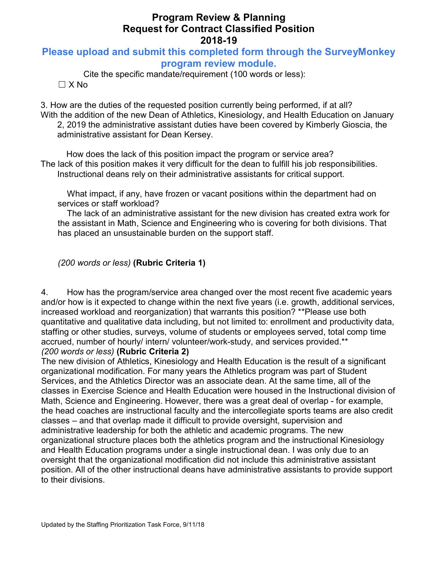# Program Review & Planning Request for Contract Classified Position 2018-19

### Please upload and submit this completed form through the SurveyMonkey program review module.

Cite the specific mandate/requirement (100 words or less):  $\Box$  X No

3. How are the duties of the requested position currently being performed, if at all? With the addition of the new Dean of Athletics, Kinesiology, and Health Education on January 2, 2019 the administrative assistant duties have been covered by Kimberly Gioscia, the administrative assistant for Dean Kersey.

How does the lack of this position impact the program or service area? The lack of this position makes it very difficult for the dean to fulfill his job responsibilities. Instructional deans rely on their administrative assistants for critical support.

What impact, if any, have frozen or vacant positions within the department had on services or staff workload?

The lack of an administrative assistant for the new division has created extra work for the assistant in Math, Science and Engineering who is covering for both divisions. That has placed an unsustainable burden on the support staff.

(200 words or less) (Rubric Criteria 1)

4. How has the program/service area changed over the most recent five academic years and/or how is it expected to change within the next five years (i.e. growth, additional services, increased workload and reorganization) that warrants this position? \*\*Please use both quantitative and qualitative data including, but not limited to: enrollment and productivity data, staffing or other studies, surveys, volume of students or employees served, total comp time accrued, number of hourly/ intern/ volunteer/work-study, and services provided.\*\* (200 words or less) (Rubric Criteria 2)

The new division of Athletics, Kinesiology and Health Education is the result of a significant organizational modification. For many years the Athletics program was part of Student Services, and the Athletics Director was an associate dean. At the same time, all of the classes in Exercise Science and Health Education were housed in the Instructional division of Math, Science and Engineering. However, there was a great deal of overlap - for example, the head coaches are instructional faculty and the intercollegiate sports teams are also credit classes – and that overlap made it difficult to provide oversight, supervision and administrative leadership for both the athletic and academic programs. The new organizational structure places both the athletics program and the instructional Kinesiology and Health Education programs under a single instructional dean. I was only due to an oversight that the organizational modification did not include this administrative assistant position. All of the other instructional deans have administrative assistants to provide support to their divisions.